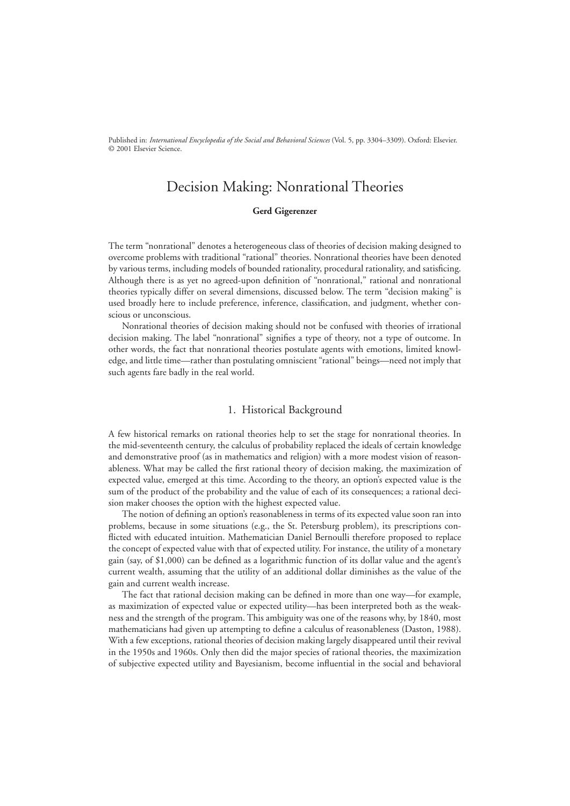Published in: *International Encyclopedia of the Social and Behavioral Sciences* (Vol. 5, pp. 3304–3309). Oxford: Elsevier. © 2001 Elsevier Science.

# Decision Making: Nonrational Theories

#### **Gerd Gigerenzer**

The term "nonrational" denotes a heterogeneous class of theories of decision making designed to overcome problems with traditional "rational" theories. Nonrational theories have been denoted by various terms, including models of bounded rationality, procedural rationality, and satisficing. Although there is as yet no agreed-upon definition of "nonrational," rational and nonrational theories typically differ on several dimensions, discussed below. The term "decision making" is used broadly here to include preference, inference, classification, and judgment, whether conscious or unconscious.

Nonrational theories of decision making should not be confused with theories of irrational decision making. The label "nonrational" signifies a type of theory, not a type of outcome. In other words, the fact that nonrational theories postulate agents with emotions, limited knowledge, and little time—rather than postulating omniscient "rational" beings—need not imply that such agents fare badly in the real world.

#### 1. Historical Background

A few historical remarks on rational theories help to set the stage for nonrational theories. In the mid-seventeenth century, the calculus of probability replaced the ideals of certain knowledge and demonstrative proof (as in mathematics and religion) with a more modest vision of reasonableness. What may be called the first rational theory of decision making, the maximization of expected value, emerged at this time. According to the theory, an option's expected value is the sum of the product of the probability and the value of each of its consequences; a rational decision maker chooses the option with the highest expected value.

The notion of defining an option's reasonableness in terms of its expected value soon ran into problems, because in some situations (e.g., the St. Petersburg problem), its prescriptions conflicted with educated intuition. Mathematician Daniel Bernoulli therefore proposed to replace the concept of expected value with that of expected utility. For instance, the utility of a monetary gain (say, of  $$1,000$ ) can be defined as a logarithmic function of its dollar value and the agent's current wealth, assuming that the utility of an additional dollar diminishes as the value of the gain and current wealth increase.

The fact that rational decision making can be defined in more than one way—for example, as maximization of expected value or expected utility—has been interpreted both as the weakness and the strength of the program. This ambiguity was one of the reasons why, by 1840, most mathematicians had given up attempting to define a calculus of reasonableness (Daston, 1988). With a few exceptions, rational theories of decision making largely disappeared until their revival in the 1950s and 1960s. Only then did the major species of rational theories, the maximization of subjective expected utility and Bayesianism, become influential in the social and behavioral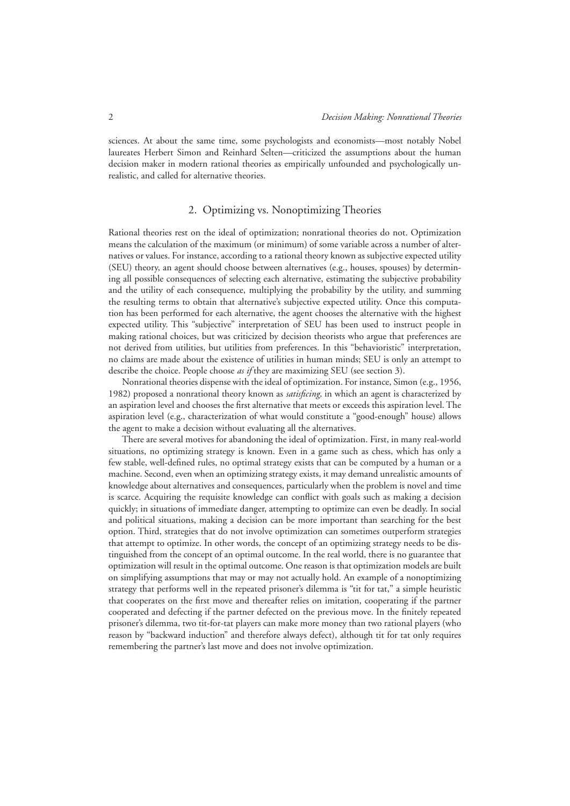sciences. At about the same time, some psychologists and economists—most notably Nobel laureates Herbert Simon and Reinhard Selten—criticized the assumptions about the human decision maker in modern rational theories as empirically unfounded and psychologically unrealistic, and called for alternative theories.

# 2. Optimizing vs. Nonoptimizing Theories

Rational theories rest on the ideal of optimization; nonrational theories do not. Optimization means the calculation of the maximum (or minimum) of some variable across a number of alternatives or values. For instance, according to a rational theory known as subjective expected utility (SEU) theory, an agent should choose between alternatives (e.g., houses, spouses) by determining all possible consequences of selecting each alternative, estimating the subjective probability and the utility of each consequence, multiplying the probability by the utility, and summing the resulting terms to obtain that alternative's subjective expected utility. Once this computation has been performed for each alternative, the agent chooses the alternative with the highest expected utility. This "subjective" interpretation of SEU has been used to instruct people in making rational choices, but was criticized by decision theorists who argue that preferences are not derived from utilities, but utilities from preferences. In this "behavioristic" interpretation, no claims are made about the existence of utilities in human minds; SEU is only an attempt to describe the choice. People choose *as if* they are maximizing SEU (see section 3).

Nonrational theories dispense with the ideal of optimization. For instance, Simon (e.g., 1956, 1982) proposed a nonrational theory known as *satisfi cing,* in which an agent is characterized by an aspiration level and chooses the first alternative that meets or exceeds this aspiration level. The aspiration level (e.g., characterization of what would constitute a "good-enough" house) allows the agent to make a decision without evaluating all the alternatives.

There are several motives for abandoning the ideal of optimization. First, in many real-world situations, no optimizing strategy is known. Even in a game such as chess, which has only a few stable, well-defined rules, no optimal strategy exists that can be computed by a human or a machine. Second, even when an optimizing strategy exists, it may demand unrealistic amounts of knowledge about alternatives and consequences, particularly when the problem is novel and time is scarce. Acquiring the requisite knowledge can conflict with goals such as making a decision quickly; in situations of immediate danger, attempting to optimize can even be deadly. In social and political situations, making a decision can be more important than searching for the best option. Third, strategies that do not involve optimization can sometimes outperform strategies that attempt to optimize. In other words, the concept of an optimizing strategy needs to be distinguished from the concept of an optimal outcome. In the real world, there is no guarantee that optimization will result in the optimal outcome. One reason is that optimization models are built on simplifying assumptions that may or may not actually hold. An example of a nonoptimizing strategy that performs well in the repeated prisoner's dilemma is "tit for tat," a simple heuristic that cooperates on the first move and thereafter relies on imitation, cooperating if the partner cooperated and defecting if the partner defected on the previous move. In the finitely repeated prisoner's dilemma, two tit-for-tat players can make more money than two rational players (who reason by "backward induction" and therefore always defect), although tit for tat only requires remembering the partner's last move and does not involve optimization.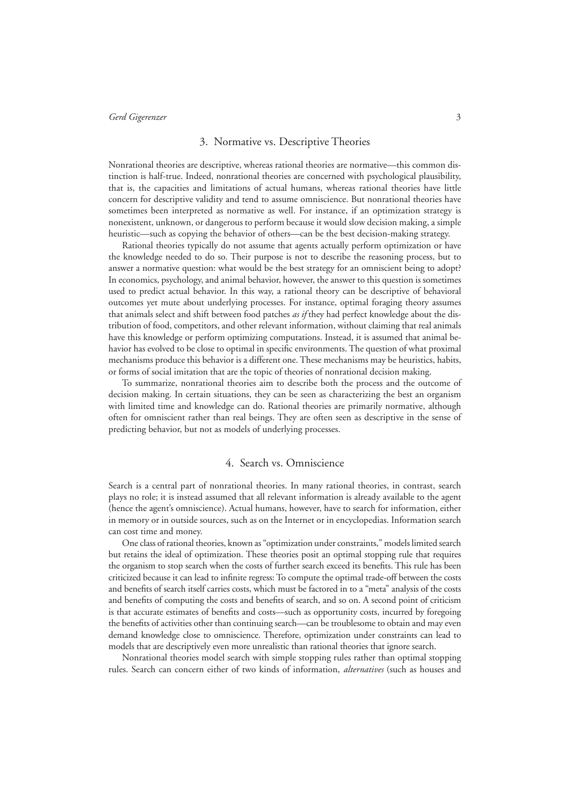#### *Gerd Gigerenzer* 3

#### 3. Normative vs. Descriptive Theories

Nonrational theories are descriptive, whereas rational theories are normative—this common distinction is half-true. Indeed, nonrational theories are concerned with psychological plausibility, that is, the capacities and limitations of actual humans, whereas rational theories have little concern for descriptive validity and tend to assume omniscience. But nonrational theories have sometimes been interpreted as normative as well. For instance, if an optimization strategy is nonexistent, unknown, or dangerous to perform because it would slow decision making, a simple heuristic—such as copying the behavior of others—can be the best decision-making strategy.

Rational theories typically do not assume that agents actually perform optimization or have the knowledge needed to do so. Their purpose is not to describe the reasoning process, but to answer a normative question: what would be the best strategy for an omniscient being to adopt? In economics, psychology, and animal behavior, however, the answer to this question is sometimes used to predict actual behavior. In this way, a rational theory can be descriptive of behavioral outcomes yet mute about underlying processes. For instance, optimal foraging theory assumes that animals select and shift between food patches *as if* they had perfect knowledge about the distribution of food, competitors, and other relevant information, without claiming that real animals have this knowledge or perform optimizing computations. Instead, it is assumed that animal behavior has evolved to be close to optimal in specific environments. The question of what proximal mechanisms produce this behavior is a different one. These mechanisms may be heuristics, habits, or forms of social imitation that are the topic of theories of nonrational decision making.

To summarize, nonrational theories aim to describe both the process and the outcome of decision making. In certain situations, they can be seen as characterizing the best an organism with limited time and knowledge can do. Rational theories are primarily normative, although often for omniscient rather than real beings. They are often seen as descriptive in the sense of predicting behavior, but not as models of underlying processes.

### 4. Search vs. Omniscience

Search is a central part of nonrational theories. In many rational theories, in contrast, search plays no role; it is instead assumed that all relevant information is already available to the agent (hence the agent's omniscience). Actual humans, however, have to search for information, either in memory or in outside sources, such as on the Internet or in encyclopedias. Information search can cost time and money.

One class of rational theories, known as "optimization under constraints," models limited search but retains the ideal of optimization. These theories posit an optimal stopping rule that requires the organism to stop search when the costs of further search exceed its benefits. This rule has been criticized because it can lead to infinite regress: To compute the optimal trade-off between the costs and benefits of search itself carries costs, which must be factored in to a "meta" analysis of the costs and benefits of computing the costs and benefits of search, and so on. A second point of criticism is that accurate estimates of benefits and costs—such as opportunity costs, incurred by foregoing the benefits of activities other than continuing search—can be troublesome to obtain and may even demand knowledge close to omniscience. Therefore, optimization under constraints can lead to models that are descriptively even more unrealistic than rational theories that ignore search.

Nonrational theories model search with simple stopping rules rather than optimal stopping rules. Search can concern either of two kinds of information, *alternatives* (such as houses and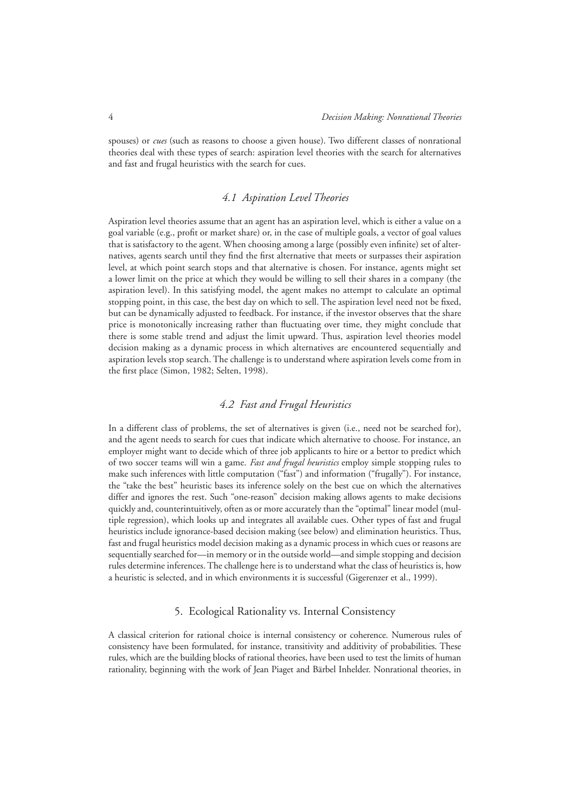spouses) or *cues* (such as reasons to choose a given house). Two different classes of nonrational theories deal with these types of search: aspiration level theories with the search for alternatives and fast and frugal heuristics with the search for cues.

# *4.1 Aspiration Level Theories*

Aspiration level theories assume that an agent has an aspiration level, which is either a value on a goal variable (e.g., profit or market share) or, in the case of multiple goals, a vector of goal values that is satisfactory to the agent. When choosing among a large (possibly even infinite) set of alternatives, agents search until they find the first alternative that meets or surpasses their aspiration level, at which point search stops and that alternative is chosen. For instance, agents might set a lower limit on the price at which they would be willing to sell their shares in a company (the aspiration level). In this satisfying model, the agent makes no attempt to calculate an optimal stopping point, in this case, the best day on which to sell. The aspiration level need not be fixed, but can be dynamically adjusted to feedback. For instance, if the investor observes that the share price is monotonically increasing rather than fluctuating over time, they might conclude that there is some stable trend and adjust the limit upward. Thus, aspiration level theories model decision making as a dynamic process in which alternatives are encountered sequentially and aspiration levels stop search. The challenge is to understand where aspiration levels come from in the first place (Simon, 1982; Selten, 1998).

# *4.2 Fast and Frugal Heuristics*

In a different class of problems, the set of alternatives is given (i.e., need not be searched for), and the agent needs to search for cues that indicate which alternative to choose. For instance, an employer might want to decide which of three job applicants to hire or a bettor to predict which of two soccer teams will win a game. *Fast and frugal heuristics* employ simple stopping rules to make such inferences with little computation ("fast") and information ("frugally"). For instance, the "take the best" heuristic bases its inference solely on the best cue on which the alternatives differ and ignores the rest. Such "one-reason" decision making allows agents to make decisions quickly and, counterintuitively, often as or more accurately than the "optimal" linear model (multiple regression), which looks up and integrates all available cues. Other types of fast and frugal heuristics include ignorance-based decision making (see below) and elimination heuristics. Thus, fast and frugal heuristics model decision making as a dynamic process in which cues or reasons are sequentially searched for—in memory or in the outside world—and simple stopping and decision rules determine inferences. The challenge here is to understand what the class of heuristics is, how a heuristic is selected, and in which environments it is successful (Gigerenzer et al., 1999).

#### 5. Ecological Rationality vs. Internal Consistency

A classical criterion for rational choice is internal consistency or coherence. Numerous rules of consistency have been formulated, for instance, transitivity and additivity of probabilities. These rules, which are the building blocks of rational theories, have been used to test the limits of human rationality, beginning with the work of Jean Piaget and Bärbel Inhelder. Nonrational theories, in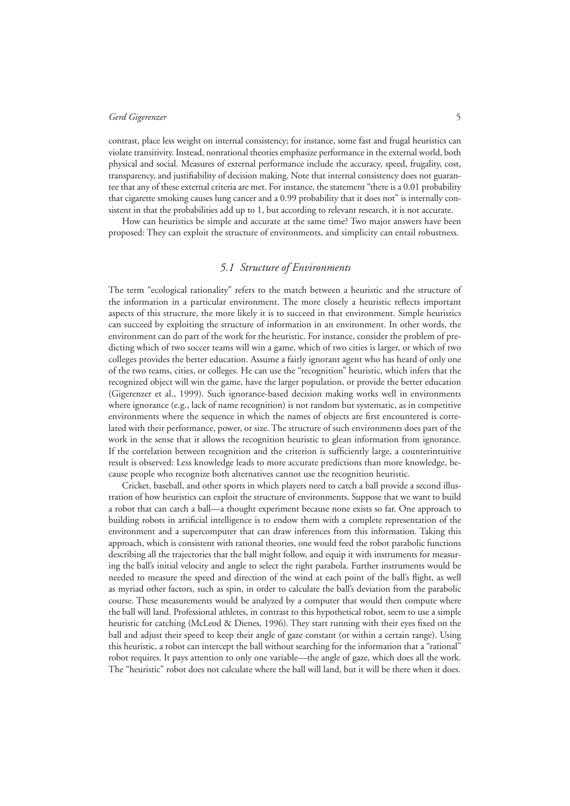#### *Gerd Gigerenzer* 5

contrast, place less weight on internal consistency; for instance, some fast and frugal heuristics can violate transitivity. Instead, nonrational theories emphasize performance in the external world, both physical and social. Measures of external performance include the accuracy, speed, frugality, cost, transparency, and justifiability of decision making. Note that internal consistency does not guarantee that any of these external criteria are met. For instance, the statement "there is a 0.01 probability that cigarette smoking causes lung cancer and a 0.99 probability that it does not" is internally consistent in that the probabilities add up to 1, but according to relevant research, it is not accurate.

How can heuristics be simple and accurate at the same time? Two major answers have been proposed: They can exploit the structure of environments, and simplicity can entail robustness.

# *5.1 Structure of Environments*

The term "ecological rationality" refers to the match between a heuristic and the structure of the information in a particular environment. The more closely a heuristic reflects important aspects of this structure, the more likely it is to succeed in that environment. Simple heuristics can succeed by exploiting the structure of information in an environment. In other words, the environment can do part of the work for the heuristic. For instance, consider the problem of predicting which of two soccer teams will win a game, which of two cities is larger, or which of two colleges provides the better education. Assume a fairly ignorant agent who has heard of only one of the two teams, cities, or colleges. He can use the "recognition" heuristic, which infers that the recognized object will win the game, have the larger population, or provide the better education (Gigerenzer et al., 1999). Such ignorance-based decision making works well in environments where ignorance (e.g., lack of name recognition) is not random but systematic, as in competitive environments where the sequence in which the names of objects are first encountered is correlated with their performance, power, or size. The structure of such environments does part of the work in the sense that it allows the recognition heuristic to glean information from ignorance. If the correlation between recognition and the criterion is sufficiently large, a counterintuitive result is observed: Less knowledge leads to more accurate predictions than more knowledge, because people who recognize both alternatives cannot use the recognition heuristic.

Cricket, baseball, and other sports in which players need to catch a ball provide a second illustration of how heuristics can exploit the structure of environments. Suppose that we want to build a robot that can catch a ball—a thought experiment because none exists so far. One approach to building robots in artificial intelligence is to endow them with a complete representation of the environment and a supercomputer that can draw inferences from this information. Taking this approach, which is consistent with rational theories, one would feed the robot parabolic functions describing all the trajectories that the ball might follow, and equip it with instruments for measuring the ball's initial velocity and angle to select the right parabola. Further instruments would be needed to measure the speed and direction of the wind at each point of the ball's flight, as well as myriad other factors, such as spin, in order to calculate the ball's deviation from the parabolic course. These measurements would be analyzed by a computer that would then compute where the ball will land. Professional athletes, in contrast to this hypothetical robot, seem to use a simple heuristic for catching (McLeod & Dienes, 1996). They start running with their eyes fixed on the ball and adjust their speed to keep their angle of gaze constant (or within a certain range). Using this heuristic, a robot can intercept the ball without searching for the information that a "rational" robot requires. It pays attention to only one variable—the angle of gaze, which does all the work. The "heuristic" robot does not calculate where the ball will land, but it will be there when it does.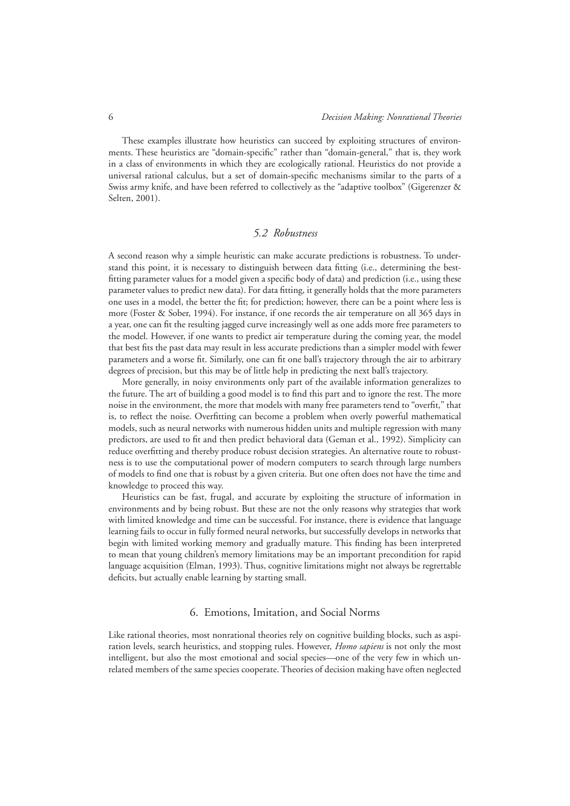These examples illustrate how heuristics can succeed by exploiting structures of environments. These heuristics are "domain-specific" rather than "domain-general," that is, they work in a class of environments in which they are ecologically rational. Heuristics do not provide a universal rational calculus, but a set of domain-specific mechanisms similar to the parts of a Swiss army knife, and have been referred to collectively as the "adaptive toolbox" (Gigerenzer & Selten, 2001).

# *5.2 Robustness*

A second reason why a simple heuristic can make accurate predictions is robustness. To understand this point, it is necessary to distinguish between data fitting (i.e., determining the bestfitting parameter values for a model given a specific body of data) and prediction (i.e., using these parameter values to predict new data). For data fitting, it generally holds that the more parameters one uses in a model, the better the fit; for prediction; however, there can be a point where less is more (Foster & Sober, 1994). For instance, if one records the air temperature on all 365 days in a year, one can fit the resulting jagged curve increasingly well as one adds more free parameters to the model. However, if one wants to predict air temperature during the coming year, the model that best fits the past data may result in less accurate predictions than a simpler model with fewer parameters and a worse fit. Similarly, one can fit one ball's trajectory through the air to arbitrary degrees of precision, but this may be of little help in predicting the next ball's trajectory.

More generally, in noisy environments only part of the available information generalizes to the future. The art of building a good model is to find this part and to ignore the rest. The more noise in the environment, the more that models with many free parameters tend to "overfit," that is, to reflect the noise. Overfitting can become a problem when overly powerful mathematical models, such as neural networks with numerous hidden units and multiple regression with many predictors, are used to fi t and then predict behavioral data (Geman et al., 1992). Simplicity can reduce overfitting and thereby produce robust decision strategies. An alternative route to robustness is to use the computational power of modern computers to search through large numbers of models to find one that is robust by a given criteria. But one often does not have the time and knowledge to proceed this way.

Heuristics can be fast, frugal, and accurate by exploiting the structure of information in environments and by being robust. But these are not the only reasons why strategies that work with limited knowledge and time can be successful. For instance, there is evidence that language learning fails to occur in fully formed neural networks, but successfully develops in networks that begin with limited working memory and gradually mature. This finding has been interpreted to mean that young children's memory limitations may be an important precondition for rapid language acquisition (Elman, 1993). Thus, cognitive limitations might not always be regrettable deficits, but actually enable learning by starting small.

### 6. Emotions, Imitation, and Social Norms

Like rational theories, most nonrational theories rely on cognitive building blocks, such as aspiration levels, search heuristics, and stopping rules. However, *Homo sapiens* is not only the most intelligent, but also the most emotional and social species—one of the very few in which unrelated members of the same species cooperate. Theories of decision making have often neglected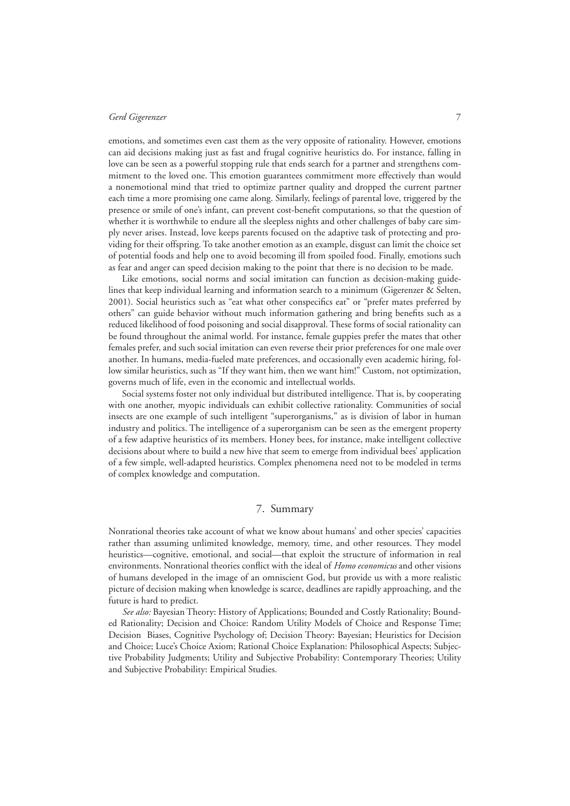#### *Gerd Gigerenzer* 7

emotions, and sometimes even cast them as the very opposite of rationality. However, emotions can aid decisions making just as fast and frugal cognitive heuristics do. For instance, falling in love can be seen as a powerful stopping rule that ends search for a partner and strengthens commitment to the loved one. This emotion guarantees commitment more effectively than would a nonemotional mind that tried to optimize partner quality and dropped the current partner each time a more promising one came along. Similarly, feelings of parental love, triggered by the presence or smile of one's infant, can prevent cost-benefit computations, so that the question of whether it is worthwhile to endure all the sleepless nights and other challenges of baby care simply never arises. Instead, love keeps parents focused on the adaptive task of protecting and providing for their offspring. To take another emotion as an example, disgust can limit the choice set of potential foods and help one to avoid becoming ill from spoiled food. Finally, emotions such as fear and anger can speed decision making to the point that there is no decision to be made.

Like emotions, social norms and social imitation can function as decision-making guidelines that keep individual learning and information search to a minimum (Gigerenzer & Selten, 2001). Social heuristics such as "eat what other conspecifics eat" or "prefer mates preferred by others" can guide behavior without much information gathering and bring benefits such as a reduced likelihood of food poisoning and social disapproval. These forms of social rationality can be found throughout the animal world. For instance, female guppies prefer the mates that other females prefer, and such social imitation can even reverse their prior preferences for one male over another. In humans, media-fueled mate preferences, and occasionally even academic hiring, follow similar heuristics, such as "If they want him, then we want him!" Custom, not optimization, governs much of life, even in the economic and intellectual worlds.

Social systems foster not only individual but distributed intelligence. That is, by cooperating with one another, myopic individuals can exhibit collective rationality. Communities of social insects are one example of such intelligent "superorganisms," as is division of labor in human industry and politics. The intelligence of a superorganism can be seen as the emergent property of a few adaptive heuristics of its members. Honey bees, for instance, make intelligent collective decisions about where to build a new hive that seem to emerge from individual bees' application of a few simple, well-adapted heuristics. Complex phenomena need not to be modeled in terms of complex knowledge and computation.

#### 7. Summary

Nonrational theories take account of what we know about humans' and other species' capacities rather than assuming unlimited knowledge, memory, time, and other resources. They model heuristics—cognitive, emotional, and social—that exploit the structure of information in real environments. Nonrational theories conflict with the ideal of *Homo economicus* and other visions of humans developed in the image of an omniscient God, but provide us with a more realistic picture of decision making when knowledge is scarce, deadlines are rapidly approaching, and the future is hard to predict.

*See also:* Bayesian Theory: History of Applications; Bounded and Costly Rationality; Bounded Rationality; Decision and Choice: Random Utility Models of Choice and Response Time; Decision Biases, Cognitive Psychology of; Decision Theory: Bayesian; Heuristics for Decision and Choice; Luce's Choice Axiom; Rational Choice Explanation: Philosophical Aspects; Subjective Probability Judgments; Utility and Subjective Probability: Contemporary Theories; Utility and Subjective Probability: Empirical Studies.